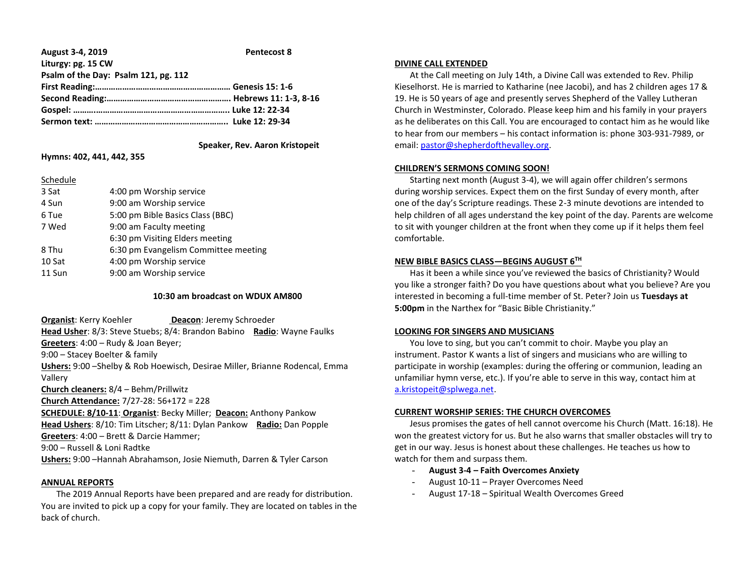| August 3-4, 2019                     | <b>Pentecost 8</b> |
|--------------------------------------|--------------------|
| Liturgy: pg. 15 CW                   |                    |
| Psalm of the Day: Psalm 121, pg. 112 |                    |
|                                      |                    |
|                                      |                    |
|                                      |                    |
|                                      |                    |
|                                      |                    |

# **Speaker, Rev. Aaron Kristopeit**

# **Hymns: 402, 441, 442, 355**

### Schedule

| 3 Sat  | 4:00 pm Worship service              |
|--------|--------------------------------------|
| 4 Sun  | 9:00 am Worship service              |
| 6 Tue  | 5:00 pm Bible Basics Class (BBC)     |
| 7 Wed  | 9:00 am Faculty meeting              |
|        | 6:30 pm Visiting Elders meeting      |
| 8 Thu  | 6:30 pm Evangelism Committee meeting |
| 10 Sat | 4:00 pm Worship service              |
| 11 Sun | 9:00 am Worship service              |

### **10:30 am broadcast on WDUX AM800**

**Organist:** Kerry Koehler **Deacon:** Jeremy Schroeder **Head Usher**: 8/3: Steve Stuebs; 8/4: Brandon Babino **Radio**: Wayne Faulks **Greeters**: 4:00 – Rudy & Joan Beyer; 9:00 – Stacey Boelter & family **Ushers:** 9:00 –Shelby & Rob Hoewisch, Desirae Miller, Brianne Rodencal, Emma Vallery **Church cleaners:** 8/4 – Behm/Prillwitz **Church Attendance:** 7/27-28: 56+172 = 228 **SCHEDULE: 8/10-11**: **Organist**: Becky Miller; **Deacon:** Anthony Pankow **Head Ushers**: 8/10: Tim Litscher; 8/11: Dylan Pankow **Radio:** Dan Popple

**Greeters**: 4:00 – Brett & Darcie Hammer; 9:00 – Russell & Loni Radtke

**Ushers:** 9:00 –Hannah Abrahamson, Josie Niemuth, Darren & Tyler Carson

# **ANNUAL REPORTS**

 The 2019 Annual Reports have been prepared and are ready for distribution. You are invited to pick up a copy for your family. They are located on tables in the back of church.

### **DIVINE CALL EXTENDED**

 At the Call meeting on July 14th, a Divine Call was extended to Rev. Philip Kieselhorst. He is married to Katharine (nee Jacobi), and has 2 children ages 17 & 19. He is 50 years of age and presently serves Shepherd of the Valley Lutheran Church in Westminster, Colorado. Please keep him and his family in your prayers as he deliberates on this Call. You are encouraged to contact him as he would like to hear from our members – his contact information is: phone 303-931-7989, or email[: pastor@shepherdofthevalley.org.](mailto:pastor@shepherdofthevalley.org)

# **CHILDREN'S SERMONS COMING SOON!**

 Starting next month (August 3-4), we will again offer children's sermons during worship services. Expect them on the first Sunday of every month, after one of the day's Scripture readings. These 2-3 minute devotions are intended to help children of all ages understand the key point of the day. Parents are welcome to sit with younger children at the front when they come up if it helps them feel comfortable.

### **NEW BIBLE BASICS CLASS—BEGINS AUGUST 6TH**

 Has it been a while since you've reviewed the basics of Christianity? Would you like a stronger faith? Do you have questions about what you believe? Are you interested in becoming a full-time member of St. Peter? Join us **Tuesdays at 5:00pm** in the Narthex for "Basic Bible Christianity."

# **LOOKING FOR SINGERS AND MUSICIANS**

 You love to sing, but you can't commit to choir. Maybe you play an instrument. Pastor K wants a list of singers and musicians who are willing to participate in worship (examples: during the offering or communion, leading an unfamiliar hymn verse, etc.). If you're able to serve in this way, contact him at [a.kristopeit@splwega.net.](mailto:a.kristopeit@splwega.net)

# **CURRENT WORSHIP SERIES: THE CHURCH OVERCOMES**

 Jesus promises the gates of hell cannot overcome his Church (Matt. 16:18). He won the greatest victory for us. But he also warns that smaller obstacles will try to get in our way. Jesus is honest about these challenges. He teaches us how to watch for them and surpass them.

- **August 3-4 – Faith Overcomes Anxiety**
- August 10-11 Prayer Overcomes Need
- August 17-18 Spiritual Wealth Overcomes Greed